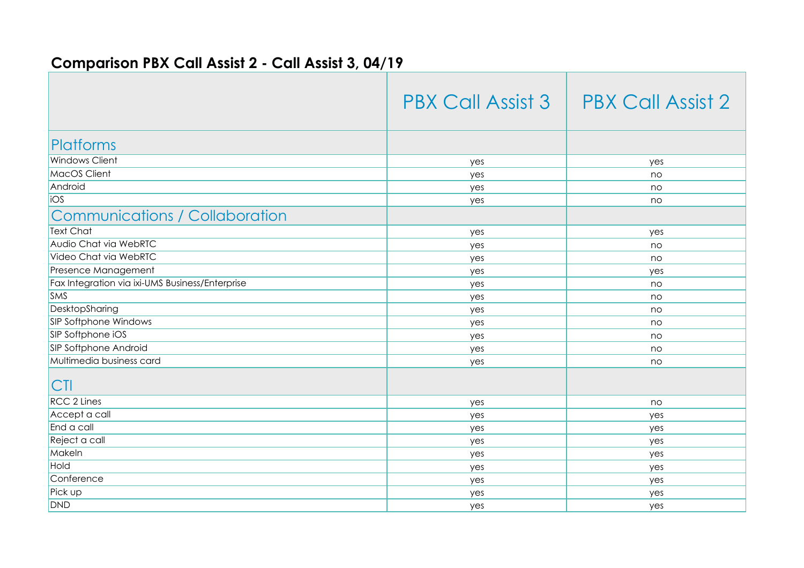## **Comparison PBX Call Assist 2 - Call Assist 3, 04/19**

|                                                 | <b>PBX Call Assist 3</b> | <b>PBX Call Assist 2</b> |
|-------------------------------------------------|--------------------------|--------------------------|
| Platforms                                       |                          |                          |
| <b>Windows Client</b>                           | yes                      | yes                      |
| MacOS Client                                    | yes                      | no                       |
| Android                                         | yes                      | no                       |
| ios                                             | yes                      | no                       |
| <b>Communications / Collaboration</b>           |                          |                          |
| <b>Text Chat</b>                                | yes                      | yes                      |
| Audio Chat via WebRTC                           | yes                      | no                       |
| Video Chat via WebRTC                           | yes                      | no                       |
| <b>Presence Management</b>                      | yes                      | yes                      |
| Fax Integration via ixi-UMS Business/Enterprise | yes                      | no                       |
| <b>SMS</b>                                      | yes                      | no                       |
| DesktopSharing                                  | yes                      | no                       |
| SIP Softphone Windows                           | yes                      | no                       |
| SIP Softphone iOS                               | yes                      | no                       |
| SIP Softphone Android                           | yes                      | no                       |
| Multimedia business card                        | yes                      | no                       |
| <sub>CI</sub>                                   |                          |                          |
| <b>RCC 2 Lines</b>                              | yes                      | no                       |
| Accept a call                                   | yes                      | yes                      |
| End a call                                      | yes                      | yes                      |
| Reject a call                                   | yes                      | yes                      |
| Makeln                                          | yes                      | yes                      |
| Hold                                            | yes                      | yes                      |
| Conference                                      | yes                      | yes                      |
| Pick up                                         | yes                      | yes                      |
| DND                                             | yes                      | yes                      |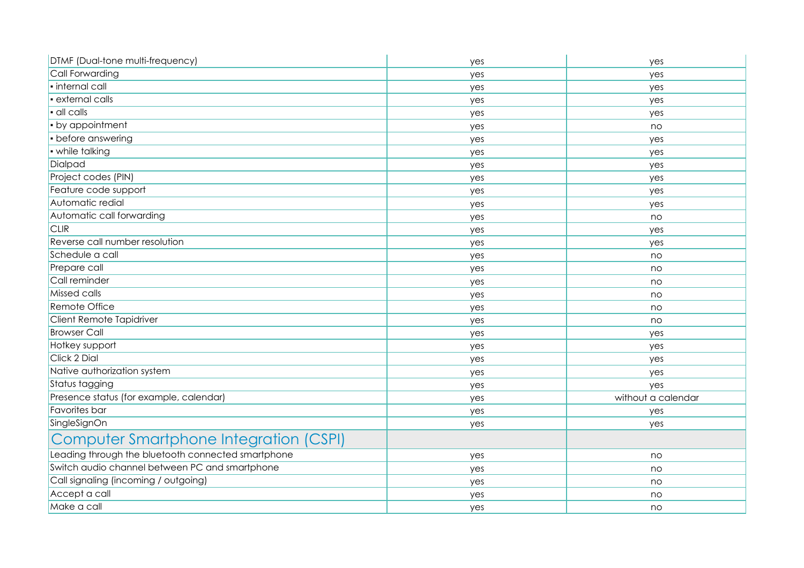| DTMF (Dual-tone multi-frequency)                   | yes | yes                |
|----------------------------------------------------|-----|--------------------|
| Call Forwarding                                    | yes | yes                |
| · internal call                                    | yes | yes                |
| · external calls                                   | yes | yes                |
| · all calls                                        | yes | yes                |
| • by appointment                                   | yes | no                 |
| • before answering                                 | yes | yes                |
| · while talking                                    | yes | yes                |
| Dialpad                                            | yes | yes                |
| Project codes (PIN)                                | yes | yes                |
| Feature code support                               | yes | yes                |
| Automatic redial                                   | yes | yes                |
| Automatic call forwarding                          | yes | no                 |
| <b>CLIR</b>                                        | yes | yes                |
| Reverse call number resolution                     | yes | yes                |
| Schedule a call                                    | yes | no                 |
| Prepare call                                       | yes | no                 |
| Call reminder                                      | yes | no                 |
| Missed calls                                       | yes | no                 |
| Remote Office                                      | yes | no                 |
| Client Remote Tapidriver                           | yes | no                 |
| <b>Browser Call</b>                                | yes | yes                |
| Hotkey support                                     | yes | yes                |
| Click 2 Dial                                       | yes | yes                |
| Native authorization system                        | yes | yes                |
| Status tagging                                     | yes | yes                |
| Presence status (for example, calendar)            | yes | without a calendar |
| Favorites bar                                      | yes | yes                |
| SingleSignOn                                       | yes | yes                |
| Computer Smartphone Integration (CSPI)             |     |                    |
| Leading through the bluetooth connected smartphone | yes | no                 |
| Switch audio channel between PC and smartphone     | yes | no                 |
| Call signaling (incoming / outgoing)               | yes | no                 |
| Accept a call                                      | yes | no                 |
| Make a call                                        | yes | no                 |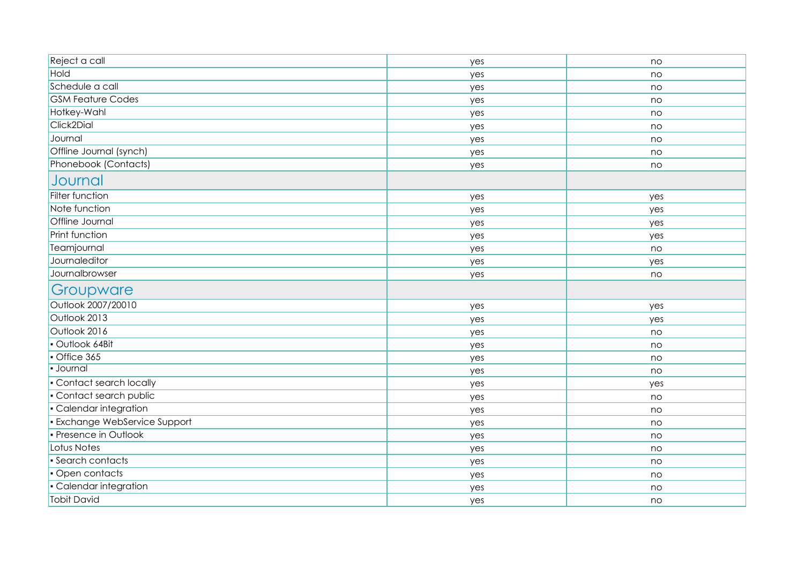| Reject a call                      | yes | no       |
|------------------------------------|-----|----------|
| Hold                               | yes | no       |
| Schedule a call                    | yes | no       |
| <b>GSM Feature Codes</b>           | yes | no       |
| Hotkey-Wahl                        | yes | no       |
| Click2Dial                         |     |          |
| Journal                            | yes | no<br>no |
| Offline Journal (synch)            | yes | no       |
| Phonebook (Contacts)               | yes |          |
|                                    | yes | no       |
| Journal                            |     |          |
| <b>Filter function</b>             | yes | yes      |
| Note function                      | yes | yes      |
| Offline Journal                    | yes | yes      |
| Print function                     | yes | yes      |
| Teamjournal                        | yes | no       |
| Journaleditor                      | yes | yes      |
| Journalbrowser                     | yes | no       |
| Groupware                          |     |          |
| Outlook 2007/20010                 | yes | yes      |
| Outlook 2013                       | yes | yes      |
| Outlook 2016                       | yes | no       |
| · Outlook 64Bit                    | yes | no       |
| Office 365                         | yes | no       |
| · Journal                          | yes | no       |
| • Contact search locally           | yes | yes      |
| · Contact search public            | yes | no       |
| · Calendar integration             | yes | no       |
| <b>Exchange WebService Support</b> | yes | no       |
| · Presence in Outlook              | yes | no       |
| Lotus Notes                        | yes | no       |
| · Search contacts                  | yes | no       |
| • Open contacts                    | yes | no       |
| · Calendar integration             |     |          |
|                                    | yes | no       |
| <b>Tobit David</b>                 | yes | no       |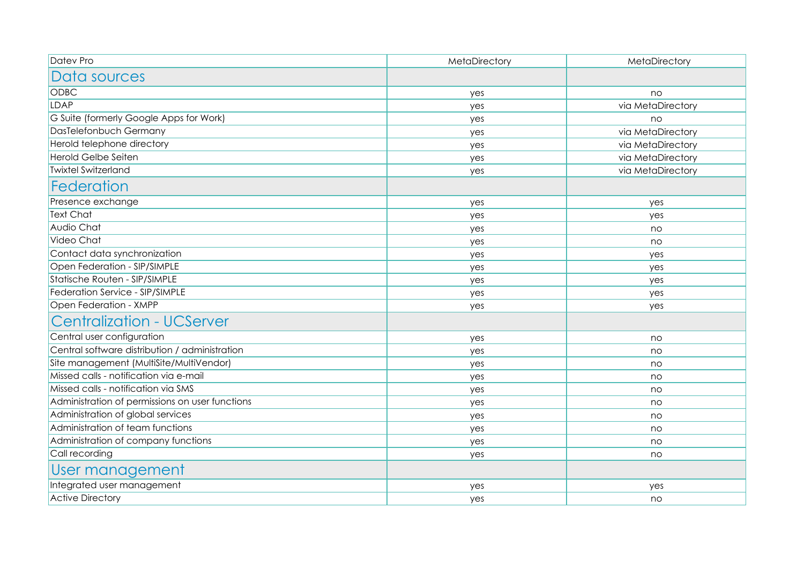| Datev Pro                                       | MetaDirectory | MetaDirectory     |
|-------------------------------------------------|---------------|-------------------|
| Data sources                                    |               |                   |
| <b>ODBC</b>                                     | yes           | no                |
| <b>LDAP</b>                                     | yes           | via MetaDirectory |
| G Suite (formerly Google Apps for Work)         | yes           | no                |
| DasTelefonbuch Germany                          | yes           | via MetaDirectory |
| Herold telephone directory                      | yes           | via MetaDirectory |
| <b>Herold Gelbe Seiten</b>                      | yes           | via MetaDirectory |
| <b>Twixtel Switzerland</b>                      | yes           | via MetaDirectory |
| Federation                                      |               |                   |
| Presence exchange                               | yes           | yes               |
| <b>Text Chat</b>                                | yes           | yes               |
| Audio Chat                                      | yes           | no                |
| Video Chat                                      | yes           | no                |
| Contact data synchronization                    | yes           | yes               |
| Open Federation - SIP/SIMPLE                    | yes           | yes               |
| Statische Routen - SIP/SIMPLE                   | yes           | yes               |
| Federation Service - SIP/SIMPLE                 | yes           | yes               |
| Open Federation - XMPP                          | yes           | yes               |
| <b>Centralization - UCServer</b>                |               |                   |
| Central user configuration                      | yes           | no                |
| Central software distribution / administration  | yes           | no                |
| Site management (MultiSite/MultiVendor)         | yes           | no                |
| Missed calls - notification via e-mail          | yes           | no                |
| Missed calls - notification via SMS             | yes           | no                |
| Administration of permissions on user functions | yes           | no                |
| Administration of global services               | yes           | no                |
| Administration of team functions                | yes           | no                |
| Administration of company functions             | yes           | no                |
| Call recording                                  | yes           | no                |
| User management                                 |               |                   |
| Integrated user management                      | yes           | yes               |
| <b>Active Directory</b>                         | yes           | no                |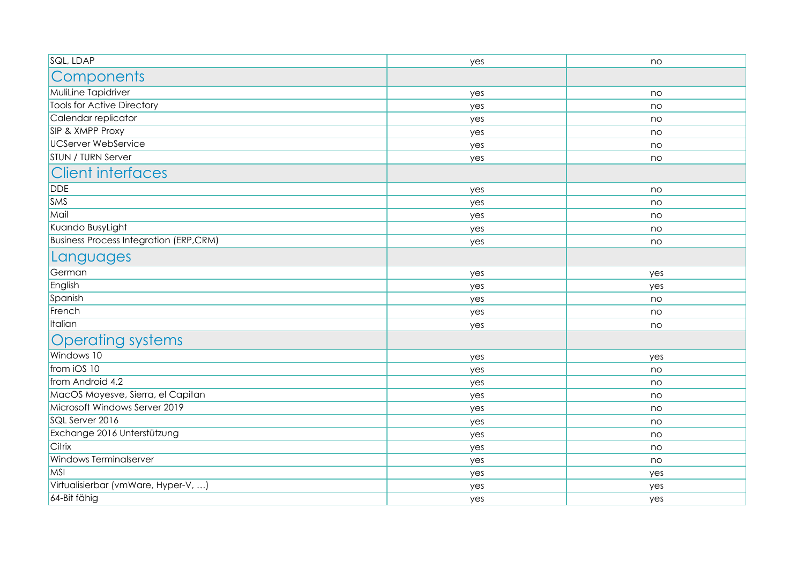| SQL, LDAP                                     | yes | no  |
|-----------------------------------------------|-----|-----|
| Components                                    |     |     |
| MuliLine Tapidriver                           | yes | no  |
| <b>Tools for Active Directory</b>             | yes | no  |
| Calendar replicator                           | yes | no  |
| <b>SIP &amp; XMPP Proxy</b>                   | yes | no  |
| UCServer WebService                           | yes | no  |
| <b>STUN / TURN Server</b>                     | yes | no  |
| <b>Client interfaces</b>                      |     |     |
| DDE                                           | yes | no  |
| <b>SMS</b>                                    | yes | no  |
| Mail                                          | yes | no  |
| Kuando BusyLight                              | yes | no  |
| <b>Business Process Integration (ERP,CRM)</b> | yes | no  |
| Languages                                     |     |     |
| German                                        | yes | yes |
| English                                       | yes | yes |
| Spanish                                       | yes | no  |
| French                                        | yes | no  |
| Italian                                       | yes | no  |
| <b>Operating systems</b>                      |     |     |
| Windows 10                                    | yes | yes |
| from iOS 10                                   | yes | no  |
| from Android 4.2                              | yes | no  |
| MacOS Moyesve, Sierra, el Capitan             | yes | no  |
| Microsoft Windows Server 2019                 | yes | no  |
| SQL Server 2016                               | yes | no  |
| Exchange 2016 Unterstützung                   | yes | no  |
| <b>Citrix</b>                                 | yes | no  |
| <b>Windows Terminalserver</b>                 | yes | no  |
| MSI                                           | yes | yes |
| Virtualisierbar (vmWare, Hyper-V, )           | yes | yes |
| 64-Bit fähig                                  | yes | yes |